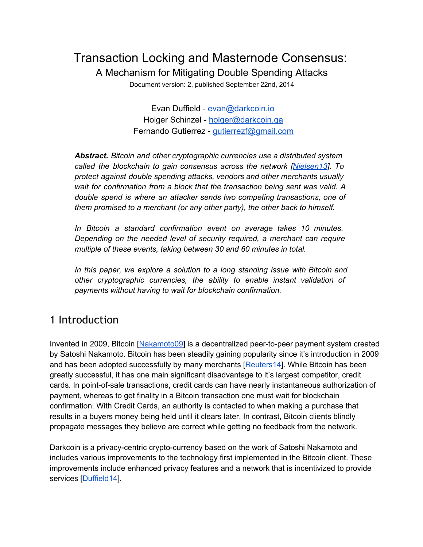# Transaction Locking and Masternode Consensus:

A Mechanism for Mitigating Double Spending Attacks

Document version: 2, published September 22nd, 2014

Evan Duffield - [evan@darkcoin.io](mailto:evan@darkcoin.io) Holger Schinzel - [holger@darkcoin.qa](mailto:holger@darkcoin.qa) Fernando Gutierrez - qutierrezf@gmail.com

*Abstract. Bitcoin and other cryptographic currencies use a distributed system called the blockchain to gain consensus across the network [[Nielsen13\]](http://www.google.com/url?q=http%3A%2F%2Fwww.michaelnielsen.org%2Fddi%2Fhow-the-bitcoin-protocol-actually-works%2F&sa=D&sntz=1&usg=AFQjCNGZGC_kA91EkZ9erttdfuwosvtGIQ). To protect against double spending attacks, vendors and other merchants usually wait for confirmation from a block that the transaction being sent was valid. A double spend is where an attacker sends two competing transactions, one of them promised to a merchant (or any other party), the other back to himself.*

*In Bitcoin a standard confirmation event on average takes 10 minutes. Depending on the needed level of security required, a merchant can require multiple of these events, taking between 30 and 60 minutes in total.*

*In this paper, we explore a solution to a long standing issue with Bitcoin and other cryptographic currencies, the ability to enable instant validation of payments without having to wait for blockchain confirmation.*

### 1 Introduction

Invented in 2009, Bitcoin [\[Nakamoto09\]](https://www.google.com/url?q=https%3A%2F%2Fbitcoin.org%2Fbitcoin.pdf&sa=D&sntz=1&usg=AFQjCNFQncwGdNN3xlKdVPihAJl59F66YQ) is a decentralized peer-to-peer payment system created by Satoshi Nakamoto. Bitcoin has been steadily gaining popularity since it's introduction in 2009 and has been adopted successfully by many merchants [\[Reuters14](http://www.google.com/url?q=http%3A%2F%2Fuk.reuters.com%2Farticle%2F2014%2F08%2F28%2Fuk-usa-bitcoin-retailers-analysis-idUKKBN0GS0AQ20140828&sa=D&sntz=1&usg=AFQjCNGazn6ra4GKo07rmZTpacGVcIbvPA)]. While Bitcoin has been greatly successful, it has one main significant disadvantage to it's largest competitor, credit cards. In point-of-sale transactions, credit cards can have nearly instantaneous authorization of payment, whereas to get finality in a Bitcoin transaction one must wait for blockchain confirmation. With Credit Cards, an authority is contacted to when making a purchase that results in a buyers money being held until it clears later. In contrast, Bitcoin clients blindly propagate messages they believe are correct while getting no feedback from the network.

Darkcoin is a privacy-centric crypto-currency based on the work of Satoshi Nakamoto and includes various improvements to the technology first implemented in the Bitcoin client. These improvements include enhanced privacy features and a network that is incentivized to provide services [\[Duffield14](https://www.google.com/url?q=https%3A%2F%2Fwww.darkcoin.io%2Fdownloads%2FDarkcoinWhitepaper.pdf&sa=D&sntz=1&usg=AFQjCNFDJ-LmYk4UzDpDPome1vazNVR1bw)].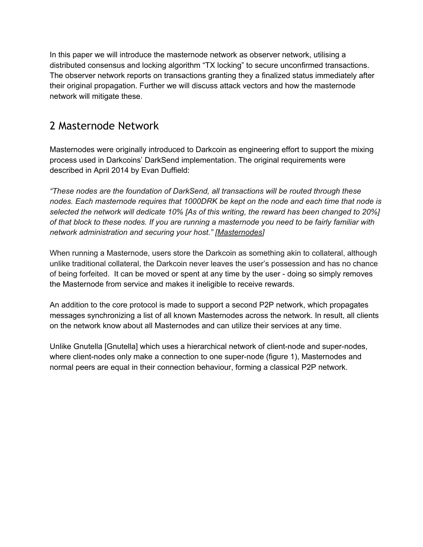In this paper we will introduce the masternode network as observer network, utilising a distributed consensus and locking algorithm "TX locking" to secure unconfirmed transactions. The observer network reports on transactions granting they a finalized status immediately after their original propagation. Further we will discuss attack vectors and how the masternode network will mitigate these.

### 2 Masternode Network

Masternodes were originally introduced to Darkcoin as engineering effort to support the mixing process used in Darkcoins' DarkSend implementation. The original requirements were described in April 2014 by Evan Duffield:

*"These nodes are the foundation of DarkSend, all transactions will be routed through these nodes. Each masternode requires that 1000DRK be kept on the node and each time that node is selected the network will dedicate 10% [As of this writing, the reward has been changed to 20%]* of that block to these nodes. If you are running a masternode you need to be fairly familiar with *network administration and securing your host." [\[Masternodes\]](https://www.google.com/url?q=https%3A%2F%2Fdarkcointalk.org%2Fthreads%2Fdarkcoin-update-masternode-requirements-masternode-payments.225%2F&sa=D&sntz=1&usg=AFQjCNGeVsu1hf0l9EFXuRcQXilxi7WfiQ)*

When running a Masternode, users store the Darkcoin as something akin to collateral, although unlike traditional collateral, the Darkcoin never leaves the user's possession and has no chance of being forfeited. It can be moved or spent at any time by the user doing so simply removes the Masternode from service and makes it ineligible to receive rewards.

An addition to the core protocol is made to support a second P2P network, which propagates messages synchronizing a list of all known Masternodes across the network. In result, all clients on the network know about all Masternodes and can utilize their services at any time.

Unlike Gnutella [Gnutella] which uses a hierarchical network of client-node and super-nodes, where client-nodes only make a connection to one super-node (figure 1), Masternodes and normal peers are equal in their connection behaviour, forming a classical P2P network.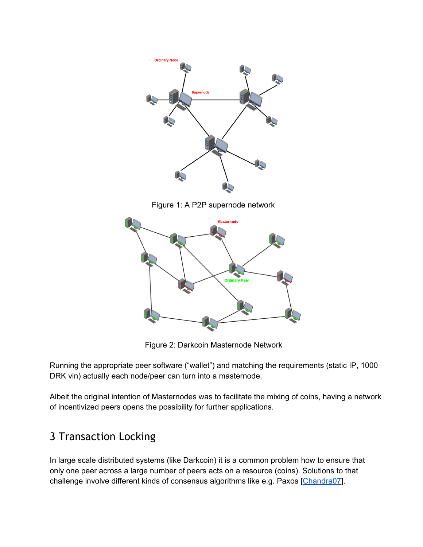

Figure 1: A P2P supernode network



Figure 2: Darkcoin Masternode Network

Running the appropriate peer software ("wallet") and matching the requirements (static IP, 1000 DRK vin) actually each node/peer can turn into a masternode.

Albeit the original intention of Masternodes was to facilitate the mixing of coins, having a network of incentivized peers opens the possibility for further applications.

# 3 Transaction Locking

In large scale distributed systems (like Darkcoin) it is a common problem how to ensure that only one peer across a large number of peers acts on a resource (coins). Solutions to that challenge involve different kinds of consensus algorithms like e.g. Paxos [\[Chandra07](http://static.googleusercontent.com/media/research.google.com/en//archive/paxos_made_live.pdf)].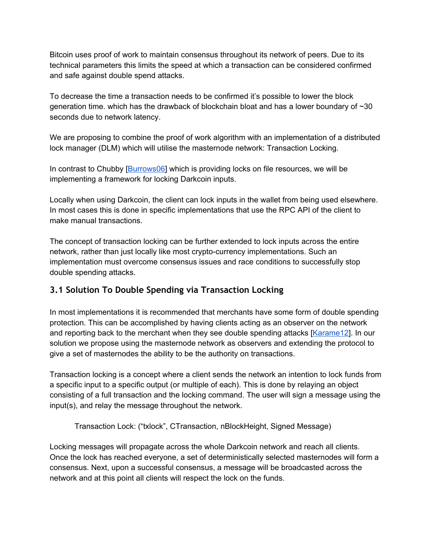Bitcoin uses proof of work to maintain consensus throughout its network of peers. Due to its technical parameters this limits the speed at which a transaction can be considered confirmed and safe against double spend attacks.

To decrease the time a transaction needs to be confirmed it's possible to lower the block generation time. which has the drawback of blockchain bloat and has a lower boundary of ~30 seconds due to network latency.

We are proposing to combine the proof of work algorithm with an implementation of a distributed lock manager (DLM) which will utilise the masternode network: Transaction Locking.

In contrast to Chubby [\[Burrows06\]](http://static.googleusercontent.com/media/research.google.com/en//archive/chubby-osdi06.pdf) which is providing locks on file resources, we will be implementing a framework for locking Darkcoin inputs.

Locally when using Darkcoin, the client can lock inputs in the wallet from being used elsewhere. In most cases this is done in specific implementations that use the RPC API of the client to make manual transactions.

The concept of transaction locking can be further extended to lock inputs across the entire network, rather than just locally like most crypto-currency implementations. Such an implementation must overcome consensus issues and race conditions to successfully stop double spending attacks.

#### **3.1 Solution To Double Spending via Transaction Locking**

In most implementations it is recommended that merchants have some form of double spending protection. This can be accomplished by having clients acting as an observer on the network and reporting back to the merchant when they see double spending attacks [\[Karame12\]](https://www.google.com/url?q=https%3A%2F%2Feprint.iacr.org%2F2012%2F248.pdf&sa=D&sntz=1&usg=AFQjCNH1R6TEbMu9dXaHPTLLAeZPaPONow). In our solution we propose using the masternode network as observers and extending the protocol to give a set of masternodes the ability to be the authority on transactions.

Transaction locking is a concept where a client sends the network an intention to lock funds from a specific input to a specific output (or multiple of each). This is done by relaying an object consisting of a full transaction and the locking command. The user will sign a message using the input(s), and relay the message throughout the network.

Transaction Lock: ("txlock", CTransaction, nBlockHeight, Signed Message)

Locking messages will propagate across the whole Darkcoin network and reach all clients. Once the lock has reached everyone, a set of deterministically selected masternodes will form a consensus. Next, upon a successful consensus, a message will be broadcasted across the network and at this point all clients will respect the lock on the funds.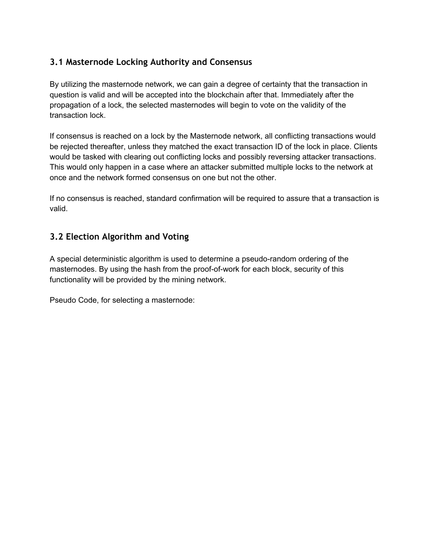#### **3.1 Masternode Locking Authority and Consensus**

By utilizing the masternode network, we can gain a degree of certainty that the transaction in question is valid and will be accepted into the blockchain after that. Immediately after the propagation of a lock, the selected masternodes will begin to vote on the validity of the transaction lock.

If consensus is reached on a lock by the Masternode network, all conflicting transactions would be rejected thereafter, unless they matched the exact transaction ID of the lock in place. Clients would be tasked with clearing out conflicting locks and possibly reversing attacker transactions. This would only happen in a case where an attacker submitted multiple locks to the network at once and the network formed consensus on one but not the other.

If no consensus is reached, standard confirmation will be required to assure that a transaction is valid.

#### **3.2 Election Algorithm and Voting**

A special deterministic algorithm is used to determine a pseudo-random ordering of the masternodes. By using the hash from the proof-of-work for each block, security of this functionality will be provided by the mining network.

Pseudo Code, for selecting a masternode: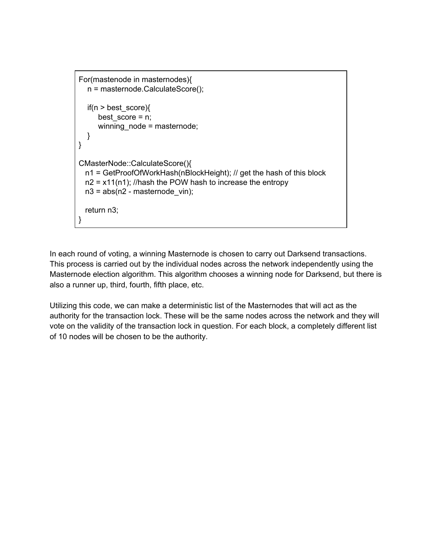```
For(mastenode in masternodes){
  n = masternode.CalculateScore();
  if(n > best_score){
     best_score = n;
     winning_node = masternode;
  }
}
CMasterNode::CalculateScore(){
  n1 = GetProofOfWorkHash(nBlockHeight); // get the hash of this block
  n2 = x11(n1); //hash the POW hash to increase the entropy
  n3 = abs(n2 - masternode_vin);return n3;
}
```
In each round of voting, a winning Masternode is chosen to carry out Darksend transactions. This process is carried out by the individual nodes across the network independently using the Masternode election algorithm. This algorithm chooses a winning node for Darksend, but there is also a runner up, third, fourth, fifth place, etc.

Utilizing this code, we can make a deterministic list of the Masternodes that will act as the authority for the transaction lock. These will be the same nodes across the network and they will vote on the validity of the transaction lock in question. For each block, a completely different list of 10 nodes will be chosen to be the authority.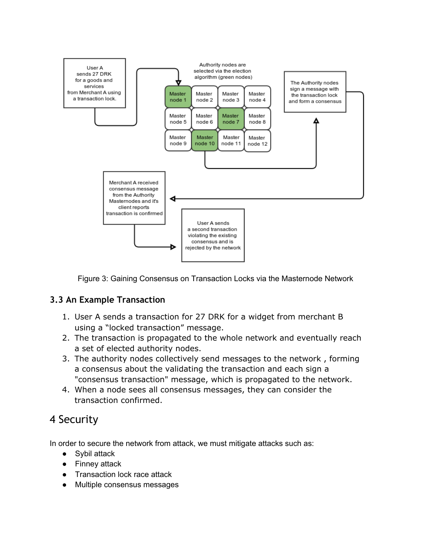

Figure 3: Gaining Consensus on Transaction Locks via the Masternode Network

#### **3.3 An Example Transaction**

- 1. User A sends a transaction for 27 DRK for a widget from merchant B using a "locked transaction" message.
- 2. The transaction is propagated to the whole network and eventually reach a set of elected authority nodes.
- 3. The authority nodes collectively send messages to the network , forming a consensus about the validating the transaction and each sign a "consensus transaction" message, which is propagated to the network.
- 4. When a node sees all consensus messages, they can consider the transaction confirmed.

# 4 Security

In order to secure the network from attack, we must mitigate attacks such as:

- Sybil attack
- Finney attack
- Transaction lock race attack
- Multiple consensus messages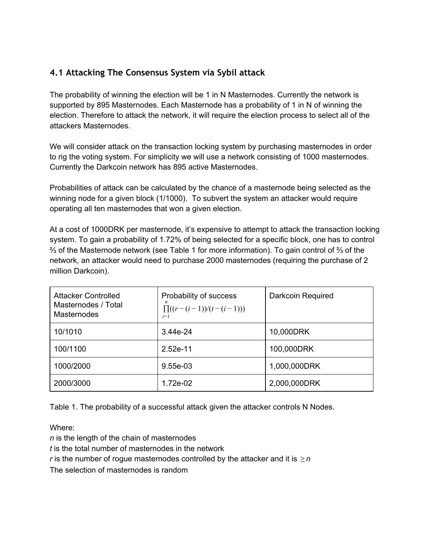#### **4.1 Attacking The Consensus System via Sybil attack**

The probability of winning the election will be 1 in N Masternodes. Currently the network is supported by 895 Masternodes. Each Masternode has a probability of 1 in N of winning the election. Therefore to attack the network, it will require the election process to select all of the attackers Masternodes.

We will consider attack on the transaction locking system by purchasing masternodes in order to rig the voting system. For simplicity we will use a network consisting of 1000 masternodes. Currently the Darkcoin network has 895 active Masternodes.

Probabilities of attack can be calculated by the chance of a masternode being selected as the winning node for a given block (1/1000). To subvert the system an attacker would require operating all ten masternodes that won a given election.

At a cost of 1000DRK per masternode, it's expensive to attempt to attack the transaction locking system. To gain a probability of 1.72% of being selected for a specific block, one has to control ⅔ of the Masternode network (see Table 1 for more information). To gain control of ⅔ of the network, an attacker would need to purchase 2000 masternodes (requiring the purchase of 2 million Darkcoin).

| Attacker Controlled<br>Masternodes / Total<br><b>Masternodes</b> | Probability of success<br>$\prod((r-(i-1))/(t-(i-1)))$<br>$i=1$ | Darkcoin Required |
|------------------------------------------------------------------|-----------------------------------------------------------------|-------------------|
| 10/1010                                                          | $3.44e-24$                                                      | 10,000DRK         |
| 100/1100                                                         | 2.52e-11                                                        | 100,000DRK        |
| 1000/2000                                                        | $9.55e-03$                                                      | 1,000,000DRK      |
| 2000/3000                                                        | 1.72e-02                                                        | 2,000,000DRK      |

Table 1. The probability of a successful attack given the attacker controls N Nodes.

Where:

*n* is the length of the chain of masternodes

*t* is the total number of masternodes in the network

*r* is the number of rogue masternodes controlled by the attacker and it is  $\geq n$ 

The selection of masternodes is random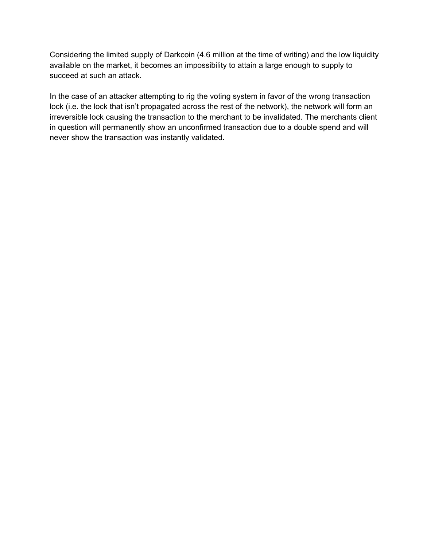Considering the limited supply of Darkcoin (4.6 million at the time of writing) and the low liquidity available on the market, it becomes an impossibility to attain a large enough to supply to succeed at such an attack.

In the case of an attacker attempting to rig the voting system in favor of the wrong transaction lock (i.e. the lock that isn't propagated across the rest of the network), the network will form an irreversible lock causing the transaction to the merchant to be invalidated. The merchants client in question will permanently show an unconfirmed transaction due to a double spend and will never show the transaction was instantly validated.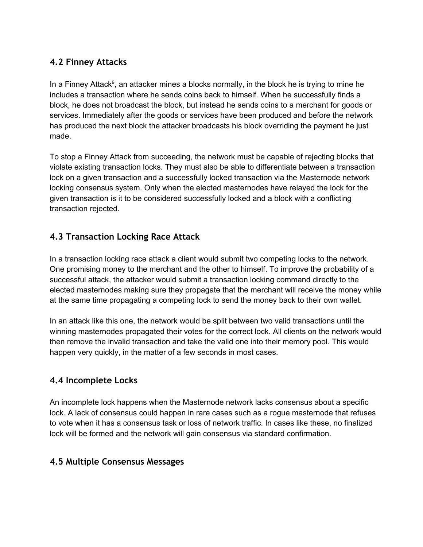#### **4.2 Finney Attacks**

In a Finney Attack<sup>9</sup>, an attacker mines a blocks normally, in the block he is trying to mine he includes a transaction where he sends coins back to himself. When he successfully finds a block, he does not broadcast the block, but instead he sends coins to a merchant for goods or services. Immediately after the goods or services have been produced and before the network has produced the next block the attacker broadcasts his block overriding the payment he just made.

To stop a Finney Attack from succeeding, the network must be capable of rejecting blocks that violate existing transaction locks. They must also be able to differentiate between a transaction lock on a given transaction and a successfully locked transaction via the Masternode network locking consensus system. Only when the elected masternodes have relayed the lock for the given transaction is it to be considered successfully locked and a block with a conflicting transaction rejected.

#### **4.3 Transaction Locking Race Attack**

In a transaction locking race attack a client would submit two competing locks to the network. One promising money to the merchant and the other to himself. To improve the probability of a successful attack, the attacker would submit a transaction locking command directly to the elected masternodes making sure they propagate that the merchant will receive the money while at the same time propagating a competing lock to send the money back to their own wallet.

In an attack like this one, the network would be split between two valid transactions until the winning masternodes propagated their votes for the correct lock. All clients on the network would then remove the invalid transaction and take the valid one into their memory pool. This would happen very quickly, in the matter of a few seconds in most cases.

#### **4.4 Incomplete Locks**

An incomplete lock happens when the Masternode network lacks consensus about a specific lock. A lack of consensus could happen in rare cases such as a rogue masternode that refuses to vote when it has a consensus task or loss of network traffic. In cases like these, no finalized lock will be formed and the network will gain consensus via standard confirmation.

#### **4.5 Multiple Consensus Messages**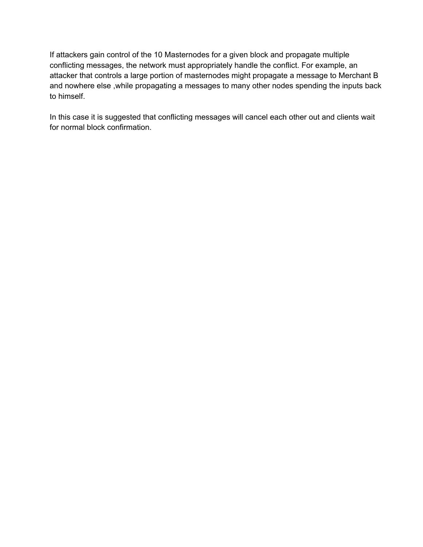If attackers gain control of the 10 Masternodes for a given block and propagate multiple conflicting messages, the network must appropriately handle the conflict. For example, an attacker that controls a large portion of masternodes might propagate a message to Merchant B and nowhere else ,while propagating a messages to many other nodes spending the inputs back to himself.

In this case it is suggested that conflicting messages will cancel each other out and clients wait for normal block confirmation.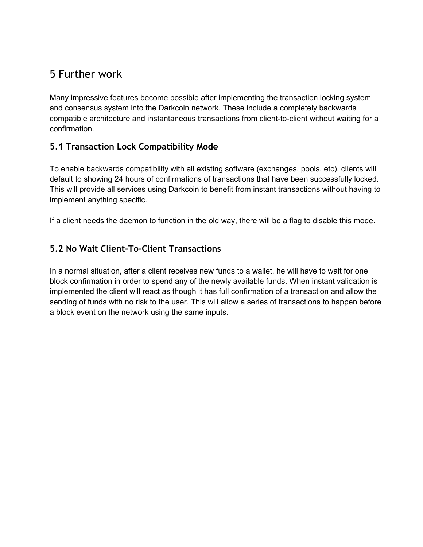### 5 Further work

Many impressive features become possible after implementing the transaction locking system and consensus system into the Darkcoin network. These include a completely backwards compatible architecture and instantaneous transactions from client-to-client without waiting for a confirmation.

#### **5.1 Transaction Lock Compatibility Mode**

To enable backwards compatibility with all existing software (exchanges, pools, etc), clients will default to showing 24 hours of confirmations of transactions that have been successfully locked. This will provide all services using Darkcoin to benefit from instant transactions without having to implement anything specific.

If a client needs the daemon to function in the old way, there will be a flag to disable this mode.

#### **5.2 No Wait Client-To-Client Transactions**

In a normal situation, after a client receives new funds to a wallet, he will have to wait for one block confirmation in order to spend any of the newly available funds. When instant validation is implemented the client will react as though it has full confirmation of a transaction and allow the sending of funds with no risk to the user. This will allow a series of transactions to happen before a block event on the network using the same inputs.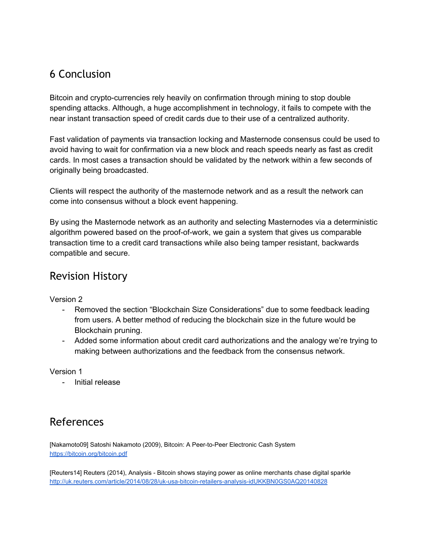# 6 Conclusion

Bitcoin and crypto-currencies rely heavily on confirmation through mining to stop double spending attacks. Although, a huge accomplishment in technology, it fails to compete with the near instant transaction speed of credit cards due to their use of a centralized authority.

Fast validation of payments via transaction locking and Masternode consensus could be used to avoid having to wait for confirmation via a new block and reach speeds nearly as fast as credit cards. In most cases a transaction should be validated by the network within a few seconds of originally being broadcasted.

Clients will respect the authority of the masternode network and as a result the network can come into consensus without a block event happening.

By using the Masternode network as an authority and selecting Masternodes via a deterministic algorithm powered based on the proof-of-work, we gain a system that gives us comparable transaction time to a credit card transactions while also being tamper resistant, backwards compatible and secure.

### Revision History

Version 2

- Removed the section "Blockchain Size Considerations" due to some feedback leading from users. A better method of reducing the blockchain size in the future would be Blockchain pruning.
- Added some information about credit card authorizations and the analogy we're trying to making between authorizations and the feedback from the consensus network.

Version 1

- Initial release

# References

[Nakamoto09] Satoshi Nakamoto (2009), Bitcoin: A Peer-to-Peer Electronic Cash System [https://bitcoin.org/bitcoin.pdf](https://www.google.com/url?q=https%3A%2F%2Fbitcoin.org%2Fbitcoin.pdf&sa=D&sntz=1&usg=AFQjCNFQncwGdNN3xlKdVPihAJl59F66YQ)

[Reuters14] Reuters (2014), Analysis - Bitcoin shows staying power as online merchants chase digital sparkle http://uk.reuters.com/article/2014/08/28/uk-usa-bitcoin-retailers-analysis-idUKKBN0GS0AQ20140828